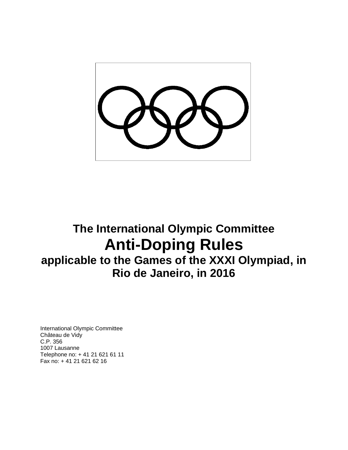

# **The International Olympic Committee Anti-Doping Rules applicable to the Games of the XXXI Olympiad, in**

**Rio de Janeiro, in 2016**

International Olympic Committee Château de Vidy C.P. 356 1007 Lausanne Telephone no: + 41 21 621 61 11 Fax no: + 41 21 621 62 16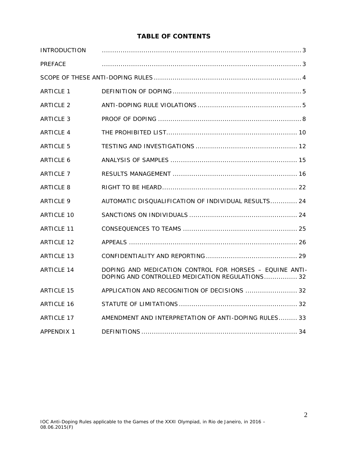# **TABLE OF CONTENTS**

| <b>INTRODUCTION</b> |                                                                                                            |
|---------------------|------------------------------------------------------------------------------------------------------------|
| <b>PREFACE</b>      |                                                                                                            |
|                     |                                                                                                            |
| <b>ARTICLE 1</b>    |                                                                                                            |
| <b>ARTICLE 2</b>    |                                                                                                            |
| <b>ARTICLE 3</b>    |                                                                                                            |
| <b>ARTICLE 4</b>    |                                                                                                            |
| <b>ARTICLE 5</b>    |                                                                                                            |
| ARTICLE 6           |                                                                                                            |
| <b>ARTICLE 7</b>    |                                                                                                            |
| <b>ARTICLE 8</b>    |                                                                                                            |
| ARTICLE 9           | AUTOMATIC DISQUALIFICATION OF INDIVIDUAL RESULTS 24                                                        |
| ARTICLE 10          |                                                                                                            |
| <b>ARTICLE 11</b>   |                                                                                                            |
| <b>ARTICLE 12</b>   |                                                                                                            |
| <b>ARTICLE 13</b>   |                                                                                                            |
| ARTICLE 14          | DOPING AND MEDICATION CONTROL FOR HORSES - EQUINE ANTI-<br>DOPING AND CONTROLLED MEDICATION REGULATIONS 32 |
| <b>ARTICLE 15</b>   | APPLICATION AND RECOGNITION OF DECISIONS  32                                                               |
| <b>ARTICLE 16</b>   |                                                                                                            |
| ARTICLE 17          | AMENDMENT AND INTERPRETATION OF ANTI-DOPING RULES 33                                                       |
| <b>APPENDIX 1</b>   |                                                                                                            |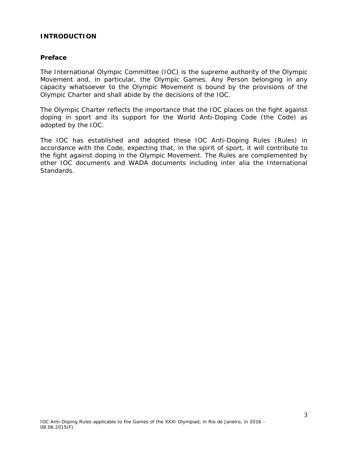## **INTRODUCTION**

#### **Preface**

The *International Olympic Committee* (*IOC*) is the supreme authority of the Olympic Movement and, in particular, the Olympic Games. Any *Person* belonging in any capacity whatsoever to the Olympic Movement is bound by the provisions of the Olympic Charter and shall abide by the decisions of the *IOC*.

The Olympic Charter reflects the importance that the *IOC* places on the fight against doping in sport and its support for the World Anti-Doping Code (the *Code*) as adopted by the *IOC.*

The *IOC* has established and adopted these *IOC* Anti-Doping Rules *(Rules)* in accordance with the *Code*, expecting that, in the spirit of sport, it will contribute to the fight against doping in the Olympic Movement. The *Rules are* complemented by other *IOC* documents and WADA documents including *inter alia* the *International Standards*.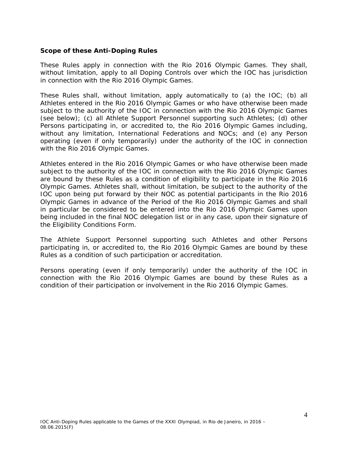#### **Scope of these Anti-Doping Rules**

These *Rules* apply in connection with the *Rio 2016 Olympic Games*. They shall, without limitation, apply to all *Doping Controls* over which the *IOC* has jurisdiction in connection with the *Rio 2016 Olympic Games*.

These *Rules* shall, without limitation, apply automatically to (a) the *IOC*; (b) all *Athletes* entered in the *Rio 2016 Olympic Games* or who have otherwise been made subject to the authority of the *IOC* in connection with the *Rio 2016 Olympic Games*  (see below); (c) all *Athlete Support Personnel* supporting such *Athletes*; (d) other *Persons* participating in, or accredited to, the *Rio 2016 Olympic Games* including, without any limitation, *International Federations* and *NOCs*; and (e) any *Person*  operating (even if only temporarily) under the authority of the *IOC* in connection with the *Rio 2016 Olympic Games*.

*Athletes* entered in the *Rio 2016 Olympic Games* or who have otherwise been made subject to the authority of the *IOC* in connection with the *Rio 2016 Olympic Games* are bound by these *Rules* as a condition of eligibility to participate in the *Rio 2016 Olympic Games. Athletes* shall, without limitation, be subject to the authority of the *IOC* upon being put forward by their *NOC* as potential participants in the *Rio 2016 Olympic Games* in advance of the *Period of the Rio 2016 Olympic Games* and shall in particular be considered to be entered into the *Rio 2016 Olympic Games* upon being included in the final NOC delegation list or in any case, upon their signature of the Eligibility Conditions Form.

The *Athlete Support Personnel* supporting such *Athletes* and other *Persons* participating in, or accredited to, the *Rio 2016 Olympic Games* are bound by these *Rules* as a condition of such participation or accreditation.

*Persons* operating (even if only temporarily) under the authority of the *IOC* in connection with the *Rio 2016 Olympic Games* are bound by these *Rules* as a condition of their participation or involvement in the *Rio 2016 Olympic Games*.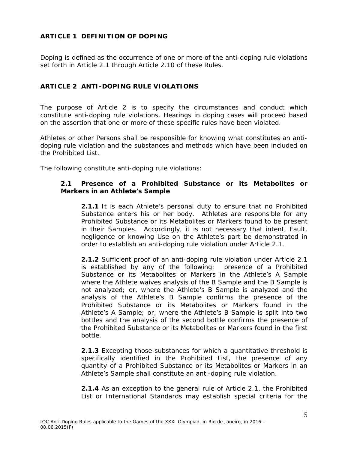# **ARTICLE 1 DEFINITION OF DOPING**

Doping is defined as the occurrence of one or more of the anti-doping rule violations set forth in Article 2.1 through Article 2.10 of these *Rules*.

### **ARTICLE 2 ANTI-DOPING RULE VIOLATIONS**

The purpose of Article 2 is to specify the circumstances and conduct which constitute anti-doping rule violations. Hearings in doping cases will proceed based on the assertion that one or more of these specific rules have been violated.

*Athletes* or other *Persons* shall be responsible for knowing what constitutes an antidoping rule violation and the substances and methods which have been included on the *Prohibited List*.

The following constitute anti-doping rule violations:

#### **2.1 Presence of a** *Prohibited Substance* **or its** *Metabolites* **or**  *Markers* **in an** *Athlete***'***s Sample*

**2.1.1** It is each *Athlete*'*s* personal duty to ensure that no *Prohibited Substance* enters his or her body. *Athletes* are responsible for any *Prohibited Substance* or its *Metabolites* or *Markers* found to be present in their *Samples*. Accordingly, it is not necessary that intent, *Fault*, negligence or knowing *Use* on the *Athlete's* part be demonstrated in order to establish an anti-doping rule violation under Article 2.1.

**2.1.2** Sufficient proof of an anti-doping rule violation under Article 2.1 is established by any of the following: presence of a *Prohibited Substance* or its *Metabolites* or *Markers* in the *Athlete's* A *Sample* where the *Athlete* waives analysis of the B *Sample* and the B *Sample* is not analyzed; or, where the *Athlete's* B *Sample* is analyzed and the analysis of the *Athlete's* B *Sample* confirms the presence of the *Prohibited Substance* or its *Metabolites* or *Markers* found in the *Athlete's* A *Sample*; or, where the *Athlete's* B *Sample* is split into two bottles and the analysis of the second bottle confirms the presence of the *Prohibited Substance* or its *Metabolites* or *Markers* found in the first bottle.

**2.1.3** Excepting those substances for which a quantitative threshold is specifically identified in the *Prohibited List*, the presence of any quantity of a *Prohibited Substance* or its *Metabolites* or *Markers* in an *Athlete*'*s Sample* shall constitute an anti-doping rule violation.

**2.1.4** As an exception to the general rule of Article 2.1, the *Prohibited List* or *International Standards* may establish special criteria for the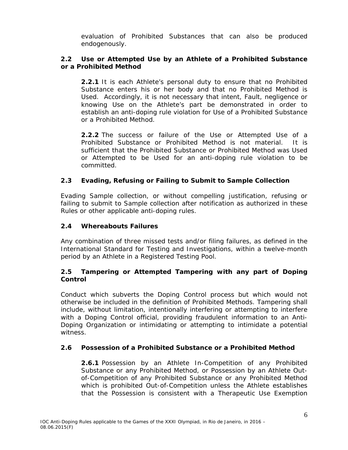evaluation of *Prohibited Substances* that can also be produced endogenously.

## **2.2** *Use* **or** *Attempted Use* **by an** *Athlete* **of a** *Prohibited Substance* **or a** *Prohibited Method*

**2.2.1** It is each *Athlete's* personal duty to ensure that no *Prohibited Substance* enters his or her body and that no *Prohibited Method* is *Used*. Accordingly, it is not necessary that intent, *Fault*, negligence or knowing *Use* on the *Athlete's* part be demonstrated in order to establish an anti-doping rule violation for *Use* of a *Prohibited Substance* or a *Prohibited Method*.

**2.2.2** The success or failure of the *Use* or *Attempted Use* of a *Prohibited Substance* or *Prohibited Method* is not material. It is sufficient that the *Prohibited Substance* or *Prohibited Method* was *Used* or *Attempted* to be *Used* for an anti-doping rule violation to be committed.

## **2.3 Evading, Refusing or Failing to Submit to** *Sample* **Collection**

Evading *Sample* collection, or without compelling justification, refusing or failing to submit to *Sample* collection after notification as authorized in these *Rules* or other applicable anti-doping rules.

## **2.4 Whereabouts Failures**

Any combination of three missed tests and/or filing failures, as defined in the International Standard for Testing and Investigations, within a twelve-month period by an *Athlete* in a *Registered Testing Pool*.

## **2.5** *Tampering* **or** *Attempted Tampering* **with any part of** *Doping Control*

Conduct which subverts the *Doping Control* process but which would not otherwise be included in the definition of *Prohibited Methods*. *Tampering* shall include, without limitation, intentionally interfering or attempting to interfere with a *Doping Control* official, providing fraudulent information to an *Anti-Doping Organization* or intimidating or attempting to intimidate a potential witness.

## **2.6** *Possession* **of a** *Prohibited Substance* **or a** *Prohibited Method*

**2.6.1** *Possession* by an *Athlete In-Competition* of any *Prohibited Substance* or any *Prohibited Method,* or *Possession* by an *Athlete Outof-Competition* of any *Prohibited Substance* or any *Prohibited Method* which is prohibited *Out-of-Competition* unless the *Athlete* establishes that the *Possession* is consistent with a Therapeutic Use Exemption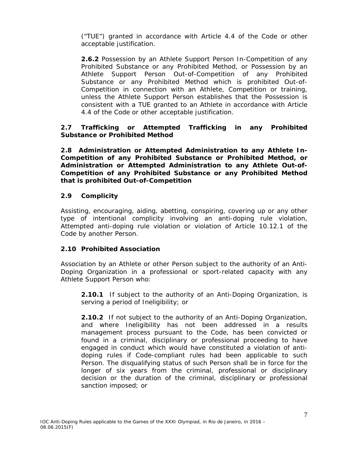("*TUE*") granted in accordance with Article 4.4 of the *Code* or other acceptable justification.

**2.6.2** *Possession* by an *Athlete Support Person In-Competition* of any *Prohibited Substance* or any *Prohibited Method,* or *Possession* by an *Athlete Support Person Out-of-Competition* of any *Prohibited Substance* or any *Prohibited Method* which is prohibited *Out-of-Competition* in connection with an *Athlete*, *Competition* or training, unless the *Athlete Support Person* establishes that the *Possession* is consistent with a *TUE* granted to an *Athlete* in accordance with Article 4.4 of the *Code* or other acceptable justification.

# **2.7** *Trafficking* **or** *Attempted Trafficking* **in any** *Prohibited Substance* **or** *Prohibited Method*

**2.8** *Administration* **or** *Attempted Administration* **to any** *Athlete In-Competition* **of any** *Prohibited Substance or Prohibited Method,* **or**  *Administration* **or** *Attempted Administration* **to any** *Athlete Out-of-Competition* **of any** *Prohibited Substance* **or any** *Prohibited Method*  **that is prohibited** *Out-of-Competition* 

# **2.9 Complicity**

Assisting, encouraging, aiding, abetting, conspiring, covering up or any other type of intentional complicity involving an anti-doping rule violation, *Attempted* anti-doping rule violation or violation of Article 10.12.1 of the *Code* by another *Person*.

# **2.10 Prohibited Association**

Association by an *Athlete* or other *Person* subject to the authority of an *Anti-Doping Organization* in a professional or sport-related capacity with any *Athlete Support Person* who:

**2.10.1** If subject to the authority of an *Anti-Doping Organization*, is serving a period of *Ineligibility*; or

**2.10.2** If not subject to the authority of an *Anti-Doping Organization*, and where *Ineligibility* has not been addressed in a results management process pursuant to the *Code*, has been convicted or found in a criminal, disciplinary or professional proceeding to have engaged in conduct which would have constituted a violation of antidoping rules if *Code*-compliant rules had been applicable to such *Person.* The disqualifying status of such *Person* shall be in force for the longer of six years from the criminal, professional or disciplinary decision or the duration of the criminal, disciplinary or professional sanction imposed; or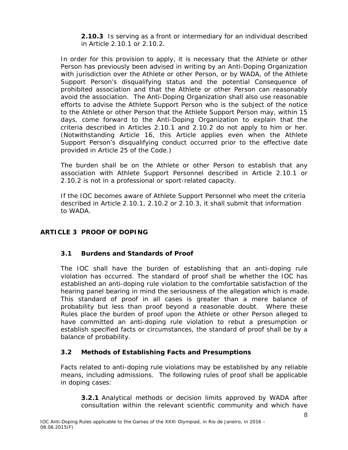**2.10.3** Is serving as a front or intermediary for an individual described in Article 2.10.1 or 2.10.2.

In order for this provision to apply, it is necessary that the *Athlete* or other *Person* has previously been advised in writing by an *Anti-Doping Organization* with jurisdiction over the *Athlete* or other *Person*, or by *WADA*, of the *Athlete Support Person's* disqualifying status and the potential *Consequence* of prohibited association and that the *Athlete* or other *Person* can reasonably avoid the association. The *Anti-Doping Organization* shall also use reasonable efforts to advise the *Athlete Support Person* who is the subject of the notice to the *Athlete* or other *Person* that the *Athlete Support Person* may, within 15 days, come forward to the *Anti-Doping Organization* to explain that the criteria described in Articles 2.10.1 and 2.10.2 do not apply to him or her. (Notwithstanding Article 16, this Article applies even when the *Athlete Support Person's* disqualifying conduct occurred prior to the effective date provided in Article 25 of the *Code*.)

The burden shall be on the *Athlete* or other *Person* to establish that any association with *Athlete Support Personnel* described in Article 2.10.1 or 2.10.2 is not in a professional or sport-related capacity.

If the *IOC* becomes aware of Athlete Support Personnel who meet the criteria described in Article 2.10.1, 2.10.2 or 2.10.3, it shall submit that information to *WADA*.

# **ARTICLE 3 PROOF OF DOPING**

## **3.1 Burdens and Standards of Proof**

The *IOC* shall have the burden of establishing that an anti-doping rule violation has occurred. The standard of proof shall be whether the *IOC* has established an anti-doping rule violation to the comfortable satisfaction of the hearing panel bearing in mind the seriousness of the allegation which is made. This standard of proof in all cases is greater than a mere balance of probability but less than proof beyond a reasonable doubt. Where these *Rules* place the burden of proof upon the *Athlete* or other *Person* alleged to have committed an anti-doping rule violation to rebut a presumption or establish specified facts or circumstances, the standard of proof shall be by a balance of probability.

## **3.2 Methods of Establishing Facts and Presumptions**

Facts related to anti-doping rule violations may be established by any reliable means, including admissions. The following rules of proof shall be applicable in doping cases:

**3.2.1** Analytical methods or decision limits approved by *WADA* after consultation within the relevant scientific community and which have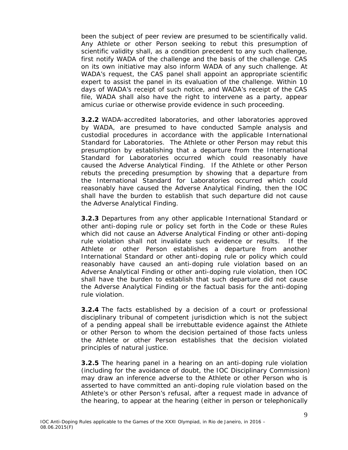been the subject of peer review are presumed to be scientifically valid. Any *Athlete* or other *Person* seeking to rebut this presumption of scientific validity shall, as a condition precedent to any such challenge, first notify *WADA* of the challenge and the basis of the challenge. *CAS* on its own initiative may also inform *WADA* of any such challenge. At *WADA*'s request, the *CAS* panel shall appoint an appropriate scientific expert to assist the panel in its evaluation of the challenge. Within 10 days of *WADA's* receipt of such notice, and *WADA's* receipt of the *CAS* file, *WADA* shall also have the right to intervene as a party, appear amicus curiae or otherwise provide evidence in such proceeding.

**3.2.2** *WADA*-accredited laboratories, and other laboratories approved by *WADA*, are presumed to have conducted *Sample* analysis and custodial procedures in accordance with the applicable International Standard for Laboratories. The *Athlete* or other *Person* may rebut this presumption by establishing that a departure from the International Standard for Laboratories occurred which could reasonably have caused the *Adverse Analytical Finding*. If the *Athlete* or other *Person* rebuts the preceding presumption by showing that a departure from the International Standard for Laboratories occurred which could reasonably have caused the *Adverse Analytical Finding*, then the *IOC* shall have the burden to establish that such departure did not cause the *Adverse Analytical Finding*.

**3.2.3** Departures from any other applicable *International Standard* or other anti-doping rule or policy set forth in the *Code* or these *Rules* which did not cause an *Adverse Analytical Finding* or other anti-doping rule violation shall not invalidate such evidence or results. If the *Athlete* or other *Person* establishes a departure from another *International Standard* or other anti-doping rule or policy which could reasonably have caused an anti-doping rule violation based on an *Adverse Analytical Finding* or other anti-doping rule violation, then *IOC* shall have the burden to establish that such departure did not cause the *Adverse Analytical Finding* or the factual basis for the anti-doping rule violation.

**3.2.4** The facts established by a decision of a court or professional disciplinary tribunal of competent jurisdiction which is not the subject of a pending appeal shall be irrebuttable evidence against the *Athlete* or other *Person* to whom the decision pertained of those facts unless the *Athlete* or other *Person* establishes that the decision violated principles of natural justice.

**3.2.5** The hearing panel in a hearing on an anti-doping rule violation (including for the avoidance of doubt, the IOC Disciplinary Commission) may draw an inference adverse to the *Athlete* or other *Person* who is asserted to have committed an anti-doping rule violation based on the *Athlete's* or other *Person*'s refusal, after a request made in advance of the hearing, to appear at the hearing (either in person or telephonically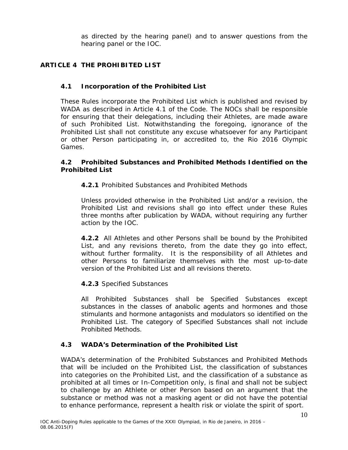as directed by the hearing panel) and to answer questions from the hearing panel or the *IOC*.

# **ARTICLE 4 THE PROHIBITED LIST**

# **4.1 Incorporation of the** *Prohibited List*

These *Rules* incorporate the *Prohibited List* which is published and revised by *WADA* as described in Article 4.1 of the *Code*. The *NOCs* shall be responsible for ensuring that their delegations, including their *Athletes*, are made aware of such *Prohibited List.* Notwithstanding the foregoing, ignorance of the *Prohibited List* shall not constitute any excuse whatsoever for any Participant or other Person participating in, or accredited to, the *Rio 2016 Olympic Games.*

## **4.2** *Prohibited Substances* **and** *Prohibited Methods* **Identified on the**  *Prohibited List*

## **4.2.1** *Prohibited Substances* and *Prohibited Methods*

Unless provided otherwise in the *Prohibited List* and/or a revision, the *Prohibited List* and revisions shall go into effect under these *Rules* three months after publication by *WADA,* without requiring any further action by the *IOC.* 

**4.2.2** All *Athletes* and other *Persons* shall be bound by the *Prohibited List*, and any revisions thereto, from the date they go into effect, without further formality. It is the responsibility of all *Athletes* and other *Persons* to familiarize themselves with the most up-to-date version of the *Prohibited List* and all revisions thereto.

## **4.2.3** *Specified Substances*

All *Prohibited Substances* shall be *Specified Substances* except substances in the classes of anabolic agents and hormones and those stimulants and hormone antagonists and modulators so identified on the *Prohibited List*. The category of *Specified Substances* shall not include *Prohibited Methods*.

## **4.3** *WADA***'s Determination of the** *Prohibited List*

*WADA's* determination of the *Prohibited Substances* and *Prohibited Methods* that will be included on the *Prohibited List*, the classification of substances into categories on the *Prohibited List*, and the classification of a substance as prohibited at all times or *In-Competition* only, is final and shall not be subject to challenge by an *Athlete* or other *Person* based on an argument that the substance or method was not a masking agent or did not have the potential to enhance performance, represent a health risk or violate the spirit of sport.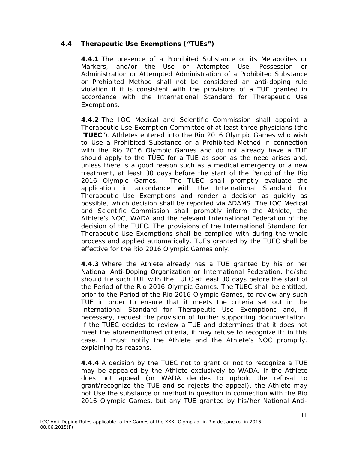## **4.4 Therapeutic Use Exemptions ("***TUEs***")**

**4.4.1** The presence of a *Prohibited Substance* or its *Metabolites* or *Markers*, and/or the *Use* or *Attempted Use*, *Possession* or *Administration* or *Attempted Administration* of a *Prohibited Substance* or *Prohibited Method* shall not be considered an anti-doping rule violation if it is consistent with the provisions of a *TUE* granted in accordance with the International Standard for Therapeutic Use Exemptions.

**4.4.2** The *IOC* Medical and Scientific Commission shall appoint a Therapeutic Use Exemption Committee of at least three physicians (the "**TUEC**"). *Athletes* entered into the *Rio 2016 Olympic Games* who wish to *Use* a *Prohibited Substance* or a *Prohibited Method* in connection with the *Rio 2016 Olympic Games* and do not already have a *TUE* should apply to the TUEC for a *TUE* as soon as the need arises and, unless there is a good reason such as a medical emergency or a new treatment, at least 30 days before the start of the *Period of the Rio 2016 Olympic Games*. The TUEC shall promptly evaluate the application in accordance with the International Standard for Therapeutic Use Exemptions and render a decision as quickly as possible, which decision shall be reported via *ADAMS*. The *IOC* Medical and Scientific Commission shall promptly inform the *Athlete*, the *Athlete's NOC, WADA* and the relevant *International Federation* of the decision of the TUEC. The provisions of the International Standard for Therapeutic Use Exemptions shall be complied with during the whole process and applied automatically. *TUEs* granted by the TUEC shall be effective for the *Rio 2016 Olympic Games* only.

**4.4.3** Where the *Athlete* already has a *TUE* granted by his or her *National Anti-Doping Organization* or *International Federation*, he/she should file such *TUE* with the TUEC at least 30 days before the start of the *Period of the Rio 2016 Olympic Games.* The TUEC shall be entitled, prior to the *Period of the Rio 2016 Olympic Games*, to review any such *TUE* in order to ensure that it meets the criteria set out in the International Standard for Therapeutic Use Exemptions and, if necessary, request the provision of further supporting documentation. If the TUEC decides to review a *TUE* and determines that it does not meet the aforementioned criteria, it may refuse to recognize it; in this case, it must notify the *Athlete* and the *Athlete's NOC* promptly, explaining its reasons.

**4.4.4** A decision by the *TUEC* not to grant or not to recognize a *TUE* may be appealed by the *Athlete* exclusively to *WADA*. If the *Athlete*  does not appeal (or WADA decides to uphold the refusal to grant/recognize the *TUE* and so rejects the appeal), the *Athlete* may not *Use* the substance or method in question in connection with the *Rio 2016 Olympic Games*, but any TUE granted by his/her *National Anti-*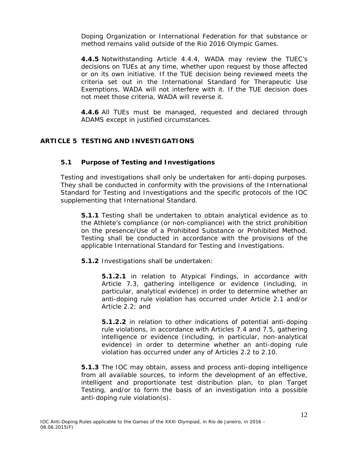*Doping Organization* or *International Federation* for that substance or method remains valid outside of the *Rio 2016 Olympic Games*.

**4.4.5** Notwithstanding Article 4.4.4, *WADA* may review the TUEC's decisions on *TUEs* at any time, whether upon request by those affected or on its own initiative. If the *TUE* decision being reviewed meets the criteria set out in the International Standard for Therapeutic Use Exemptions, *WADA* will not interfere with it. If the *TUE* decision does not meet those criteria, *WADA* will reverse it.

**4.4.6** All TUEs must be managed, requested and declared through ADAMS except in justified circumstances.

## **ARTICLE 5** *TESTING* **AND INVESTIGATIONS**

## **5.1 Purpose of** *Testing* **and Investigations**

*Testing* and investigations shall only be undertaken for anti-doping purposes. They shall be conducted in conformity with the provisions of the International Standard for Testing and Investigations and the specific protocols of the *IOC* supplementing that International Standard.

**5.1.1** *Testing* shall be undertaken to obtain analytical evidence as to the *Athlete*'s compliance (or non-compliance) with the strict prohibition on the presence/*Use* of a *Prohibited Substance* or *Prohibited Method*. *Testing* shall be conducted in accordance with the provisions of the applicable International Standard for Testing and Investigations*.* 

**5.1.2** Investigations shall be undertaken:

**5.1.2.1** in relation to *Atypical Findings*, in accordance with Article 7.3, gathering intelligence or evidence (including, in particular, analytical evidence) in order to determine whether an anti-doping rule violation has occurred under Article 2.1 and/or Article 2.2; and

**5.1.2.2** in relation to other indications of potential anti-doping rule violations, in accordance with Articles 7.4 and 7.5, gathering intelligence or evidence (including, in particular, non-analytical evidence) in order to determine whether an anti-doping rule violation has occurred under any of Articles 2.2 to 2.10.

**5.1.3** The *IOC* may obtain, assess and process anti-doping intelligence from all available sources, to inform the development of an effective, intelligent and proportionate test distribution plan, to plan *Target Testing*, and/or to form the basis of an investigation into a possible anti-doping rule violation(s).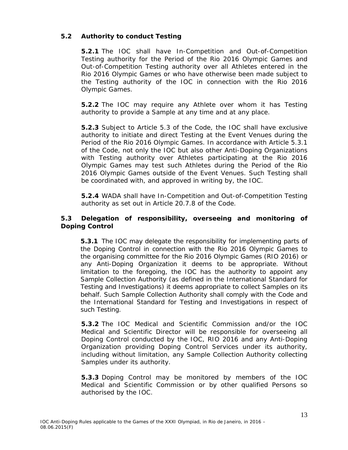## **5.2 Authority to conduct** *Testing*

**5.2.1** The *IOC* shall have *In-Competition and Out-of-Competition Testing* authority for the *Period of the Rio 2016 Olympic Games* and *Out-of-Competition Testing* authority over all *Athletes* entered in the *Rio 2016 Olympic Games* or who have otherwise been made subject to the *Testing* authority of the *IOC* in connection with the *Rio 2016 Olympic Games.*

**5.2.2** The *IOC* may require any *Athlete* over whom it has *Testing*  authority to provide a *Sample* at any time and at any place.

**5.2.3** Subject to Article 5.3 of the *Code*, the *IOC* shall have exclusive authority to initiate and direct *Testing* at the *Event Venues* during the *Period of the Rio 2016 Olympic Games.* In accordance with Article 5.3.1 of the *Code*, not only the *IOC* but also other *Anti-Doping Organizations*  with *Testing* authority over *Athletes* participating at the *Rio 2016 Olympic Games* may test such *Athletes* during the *Period of the Rio 2016 Olympic Games* outside of the *Event Venues.* Such *Testing* shall be coordinated with, and approved in writing by, the *IOC*.

**5.2.4** *WADA* shall have *In-Competition* and *Out-of-Competition Testing* authority as set out in Article 20.7.8 of the *Code*.

### **5.3 Delegation of responsibility, overseeing and monitoring of**  *Doping Control*

**5.3.1** The *IOC* may delegate the responsibility for implementing parts of the *Doping Control* in connection with the *Rio 2016 Olympic Games* to the organising committee for the *Rio 2016 Olympic Games* (*RIO 2016*) or any *Anti-Doping Organization* it deems to be appropriate. Without limitation to the foregoing, the *IOC* has the authority to appoint any Sample Collection Authority (as defined in the International Standard for Testing and Investigations) it deems appropriate to collect *Samples* on its behalf. Such Sample Collection Authority shall comply with the *Code* and the International Standard for Testing and Investigations in respect of such *Testing.*

**5.3.2** The *IOC* Medical and Scientific Commission and/or the *IOC*  Medical and Scientific Director will be responsible for overseeing all *Doping Control* conducted by the *IOC, RIO 2016* and any *Anti-Doping Organization* providing *Doping Control Services* under its authority*,*  including without limitation, any Sample Collection Authority collecting *Samples* under its authority.

**5.3.3** *Doping Control* may be monitored by members of the *IOC* Medical and Scientific Commission or by other qualified *Person*s so authorised by the *IOC*.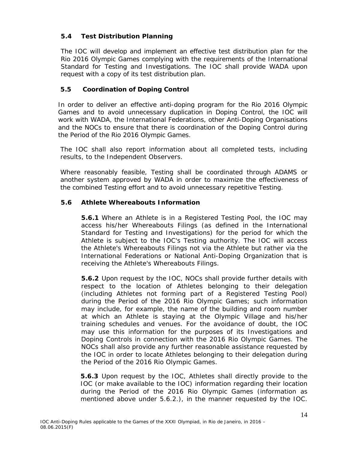# **5.4 Test Distribution Planning**

The *IOC* will develop and implement an effective test distribution plan for *the Rio 2016 Olympic Games* complying with the requirements of the International Standard for Testing and Investigations. The *IOC* shall provide *WADA* upon request with a copy of its test distribution plan.

## **5.5 Coordination of Doping Control**

In order to deliver an effective anti-doping program for the *Rio 2016 Olympic Games* and to avoid unnecessary duplication in *Doping Control,* the *IOC* will work with *WADA,* the *International Federations,* other *Anti-Doping Organisations*  and the *NOCs* to ensure that there is coordination of the *Doping Control* during the *Period of the Rio 2016 Olympic Games.* 

The *IOC* shall also report information about all completed tests, including results, to the Independent Observers.

Where reasonably feasible, *Testing* shall be coordinated through *ADAMS* or another system approved by *WADA* in order to maximize the effectiveness of the combined *Testing* effort and to avoid unnecessary repetitive *Testing*.

## **5.6** *Athlete* **Whereabouts Information**

**5.6.1** Where an *Athlete* is in a *Registered Testing Pool*, the *IOC* may access his/her Whereabouts Filings (as defined in the International Standard for Testing and Investigations) for the period for which the *Athlete* is subject to the *IOC*'s *Testing* authority. The *IOC* will access the *Athlete's* Whereabouts Filings not via the *Athlete* but rather via the *International Federations* or *National Anti-Doping Organization* that is receiving the *Athlete's* Whereabouts Filings.

**5.6.2** Upon request by the *IOC*, *NOCs* shall provide further details with respect to the location of *Athletes* belonging to their delegation (including *Athletes* not forming part of a *Registered Testing* Pool) during the *Period of the 2016 Rio Olympic Games;* such information may include, for example, the name of the building and room number at which an *Athlete* is staying at the Olympic Village and his/her training schedules and venues. For the avoidance of doubt, the IOC may use this information for the purposes of its Investigations and *Doping Controls* in connection with the *2016 Rio Olympic Games*. The *NOCs* shall also provide any further reasonable assistance requested by the IOC in order to locate *Athletes* belonging to their delegation during the *Period of the 2016 Rio Olympic Games*.

**5.6.3** Upon request by the *IOC*, *Athletes* shall directly provide to the *IOC* (or make available to the *IOC*) information regarding their location during the *Period of the 2016 Rio Olympic Games* (information as mentioned above under 5.6.2.), in the manner requested by the IOC.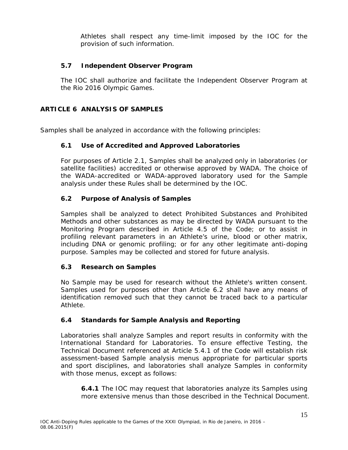Athletes shall respect any time-limit imposed by the *IOC* for the provision of such information.

## **5.7 Independent Observer Program**

The *IOC* shall authorize and facilitate the *Independent Observer Program* at the *Rio 2016 Olympic Games*.

# **ARTICLE 6 ANALYSIS OF** *SAMPLES*

*Samples* shall be analyzed in accordance with the following principles:

## **6.1 Use of Accredited and Approved Laboratories**

For purposes of Article 2.1, *Samples* shall be analyzed only in laboratories (or satellite facilities) accredited or otherwise approved by *WADA*. The choice of the *WADA*-accredited or *WADA*-approved laboratory used for the *Sample* analysis under these *Rules* shall be determined by the *IOC*.

## **6.2 Purpose of Analysis of** *Samples*

*Samples* shall be analyzed to detect *Prohibited Substances* and *Prohibited Methods* and other substances as may be directed by *WADA* pursuant to the Monitoring Program described in Article 4.5 of the *Code*; or to assist in profiling relevant parameters in an *Athlete*'s urine, blood or other matrix, including DNA or genomic profiling; or for any other legitimate anti-doping purpose. *Samples* may be collected and stored for future analysis.

## **6.3 Research on** *Samples*

No *Sample* may be used for research without the *Athlete's* written consent. *Samples* used for purposes other than Article 6.2 shall have any means of identification removed such that they cannot be traced back to a particular *Athlete*.

## **6.4 Standards for** *Sample* **Analysis and Reporting**

Laboratories shall analyze *Samples* and report results in conformity with the International Standard for Laboratories. To ensure effective *Testing*, the Technical Document referenced at Article 5.4.1 of the *Code* will establish risk assessment-based *Sample* analysis menus appropriate for particular sports and sport disciplines, and laboratories shall analyze *Samples* in conformity with those menus, except as follows:

**6.4.1** The *IOC* may request that laboratories analyze its *Samples* using more extensive menus than those described in the Technical Document.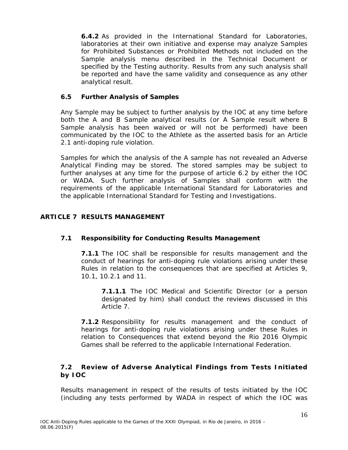**6.4.2** As provided in the International Standard for Laboratories, laboratories at their own initiative and expense may analyze *Samples*  for *Prohibited Substances* or *Prohibited Methods* not included on the *Sample* analysis menu described in the Technical Document or specified by the *Testing* authority. Results from any such analysis shall be reported and have the same validity and consequence as any other analytical result.

## **6.5 Further Analysis of** *Samples*

Any *Sample* may be subject to further analysis by the *IOC* at any time before both the A and B *Sample* analytical results (or A *Sample* result where B *Sample* analysis has been waived or will not be performed) have been communicated by the *IOC* to the *Athlete* as the asserted basis for an Article 2.1 anti-doping rule violation.

*Samples* for which the analysis of the A sample has not revealed an *Adverse Analytical Finding* may be stored. The stored samples may be subject to further analyses at any time for the purpose of article 6.2 by either the *IOC*  or *WADA*. Such further analysis of *Samples* shall conform with the requirements of the applicable International Standard for Laboratories and the applicable International Standard for Testing and Investigations.

### **ARTICLE 7 RESULTS MANAGEMENT**

## **7.1 Responsibility for Conducting Results Management**

**7.1.1** The *IOC* shall be responsible for results management and the conduct of hearings for anti-doping rule violations arising under these *Rules* in relation to the consequences that are specified at Articles 9, 10.1, 10.2.1 and 11.

**7.1.1.1** The *IOC* Medical and Scientific Director (or a person designated by him) shall conduct the reviews discussed in this Article 7.

**7.1.2** Responsibility for results management and the conduct of hearings for anti-doping rule violations arising under these *Rules* in relation to *Consequences* that extend beyond the *Rio 2016 Olympic Games* shall be referred to the applicable *International Federation*.

## **7.2 Review of** *Adverse Analytical Findings* **from Tests Initiated by** *IOC*

Results management in respect of the results of tests initiated by the *IOC* (including any tests performed by *WADA* in respect of which the IOC was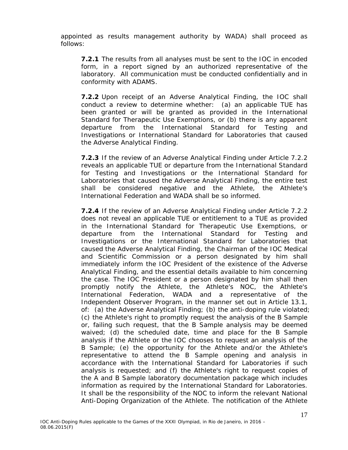appointed as results management authority by WADA) shall proceed as follows:

**7.2.1** The results from all analyses must be sent to the *IOC* in encoded form, in a report signed by an authorized representative of the laboratory. All communication must be conducted confidentially and in conformity with *ADAMS*.

**7.2.2** Upon receipt of an *Adverse Analytical Finding*, the *IOC* shall conduct a review to determine whether: (a) an applicable *TUE* has been granted or will be granted as provided in the International Standard for Therapeutic Use Exemptions, or (b) there is any apparent departure from the International Standard for Testing and Investigations or International Standard for Laboratories that caused the *Adverse Analytical Finding*.

**7.2.3** If the review of an *Adverse Analytical Finding* under Article 7.2.2 reveals an applicable *TUE* or departure from the International Standard for Testing and Investigations or the International Standard for Laboratories that caused the *Adverse Analytical Finding*, the entire test shall be considered negative and the *Athlete*, the *Athlete*'s *International Federation* and *WADA* shall be so informed.

**7.2.4** If the review of an *Adverse Analytical Finding* under Article 7.2.2 does not reveal an applicable *TUE* or entitlement to a *TUE* as provided in the International Standard for Therapeutic Use Exemptions, or departure from the International Standard for Testing and Investigations or the International Standard for Laboratories that caused the *Adverse Analytical Finding*, the Chairman of the *IOC* Medical and Scientific Commission or a person designated by him shall immediately inform the *IOC* President of the existence of the *Adverse Analytical Finding*, and the essential details available to him concerning the case. The *IOC* President or a person designated by him shall then promptly notify the *Athlete*, the *Athlete's NOC,* the *Athlete's International Federation*, *WADA* and a representative of the *Independent Observer Program*, in the manner set out in Article 13.1, of: (a) the *Adverse Analytical Finding*; (b) the anti-doping rule violated; (c) the *Athlete*'s right to promptly request the analysis of the B *Sample* or, failing such request, that the B *Sample* analysis may be deemed waived; (d) the scheduled date, time and place for the B *Sample* analysis if the *Athlete* or the *IOC* chooses to request an analysis of the B *Sample*; (e) the opportunity for the *Athlete* and/or the *Athlete*'s representative to attend the B *Sample* opening and analysis in accordance with the International Standard for Laboratories if such analysis is requested; and (f) the *Athlete*'s right to request copies of the A and B *Sample* laboratory documentation package which includes information as required by the International Standard for Laboratories. It shall be the responsibility of the *NOC* to inform the relevant *National Anti-Doping Organization* of the *Athlete*. The notification of the *Athlete*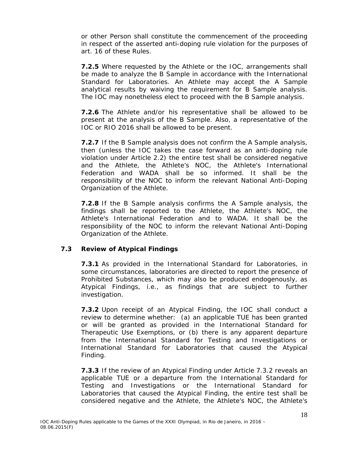or other *Person* shall constitute the commencement of the proceeding in respect of the asserted anti-doping rule violation for the purposes of art. 16 of these Rules.

**7.2.5** Where requested by the *Athlete* or the *IOC*, arrangements shall be made to analyze the B *Sample* in accordance with the International Standard for Laboratories. An *Athlete* may accept the A *Sample* analytical results by waiving the requirement for B *Sample* analysis. The *IOC* may nonetheless elect to proceed with the B *Sample* analysis.

**7.2.6** The *Athlete* and/or his representative shall be allowed to be present at the analysis of the B *Sample*. Also, a representative of the *IOC* or *RIO 2016* shall be allowed to be present.

**7.2.7** If the B *Sample* analysis does not confirm the A *Sample* analysis, then (unless the *IOC* takes the case forward as an anti-doping rule violation under Article 2.2) the entire test shall be considered negative and the *Athlete*, the *Athlete's NOC*, the *Athlete's International Federation* and *WADA* shall be so informed. It shall be the responsibility of the *NOC* to inform the relevant *National Anti-Doping Organization* of the *Athlete.*

**7.2.8** If the B *Sample* analysis confirms the A *Sample* analysis, the findings shall be reported to the *Athlete*, the *Athlete's NOC*, the *Athlete's International Federation* and to *WADA*. It shall be the responsibility of the *NOC* to inform the relevant *National Anti-Doping Organization* of the *Athlete.*

#### **7.3 Review of** *Atypical Findings*

**7.3.1** As provided in the International Standard for Laboratories, in some circumstances, laboratories are directed to report the presence of *Prohibited Substances*, which may also be produced endogenously, as *Atypical Findings*, i.e., as findings that are subject to further investigation.

**7.3.2** Upon receipt of an *Atypical Finding*, the *IOC* shall conduct a review to determine whether: (a) an applicable *TUE* has been granted or will be granted as provided in the International Standard for Therapeutic Use Exemptions, or (b) there is any apparent departure from the International Standard for Testing and Investigations or International Standard for Laboratories that caused the *Atypical Finding.*

**7.3.3** If the review of an *Atypical Finding* under Article 7.3.2 reveals an applicable *TUE* or a departure from the International Standard for Testing and Investigations or the International Standard for Laboratories that caused the *Atypical Finding*, the entire test shall be considered negative and the *Athlete*, the *Athlete*'s *NOC*, the *Athlete*'s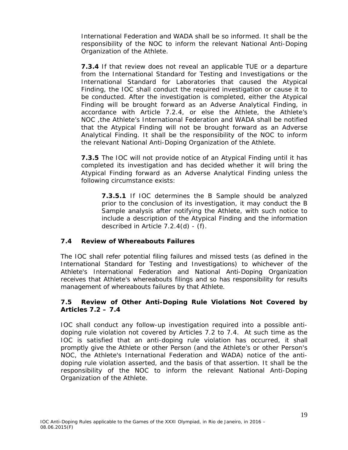*International Federation* and *WADA* shall be so informed. It shall be the responsibility of the *NOC* to inform the relevant *National Anti-Doping Organization* of the *Athlete.*

**7.3.4** If that review does not reveal an applicable *TUE* or a departure from the International Standard for Testing and Investigations or the International Standard for Laboratories that caused the *Atypical Finding*, the *IOC* shall conduct the required investigation or cause it to be conducted. After the investigation is completed, either the *Atypical Finding* will be brought forward as an *Adverse Analytical Finding*, in accordance with Article 7.2.4, or else the *Athlete,* the *Athlete*'s *NOC* ,the *Athlete*'s *International Federation* and *WADA* shall be notified that the *Atypical Finding* will not be brought forward as an *Adverse Analytical Finding*. It shall be the responsibility of the *NOC* to inform the relevant *National Anti-Doping Organization* of the *Athlete.*

**7.3.5** The *IOC* will not provide notice of an *Atypical Finding* until it has completed its investigation and has decided whether it will bring the *Atypical Finding* forward as an *Adverse Analytical Finding* unless the following circumstance exists:

**7.3.5.1** If *IOC* determines the B *Sample* should be analyzed prior to the conclusion of its investigation, it may conduct the B *Sample* analysis after notifying the *Athlete*, with such notice to include a description of the *Atypical Finding* and the information described in Article 7.2.4(d) - (f).

## **7.4 Review of Whereabouts Failures**

The *IOC* shall refer potential filing failures and missed tests (as defined in the International Standard for Testing and Investigations) to whichever of the *Athlete's International Federation* and *National Anti-Doping Organization*  receives that *Athlete's* whereabouts filings and so has responsibility for results management of whereabouts failures by that *Athlete*.

## **7.5 Review of Other** *Anti-Doping Rule Violations* **Not Covered by Articles 7.2 – 7.4**

*IOC* shall conduct any follow-up investigation required into a possible antidoping rule violation not covered by Articles 7.2 to 7.4. At such time as the *IOC* is satisfied that an anti-doping rule violation has occurred, it shall promptly give the *Athlete* or other *Person* (and the *Athlete's* or other *Person's NOC*, the *Athlete's International Federation* and *WADA*) notice of the antidoping rule violation asserted, and the basis of that assertion. It shall be the responsibility of the *NOC* to inform the relevant *National Anti-Doping Organization* of the *Athlete.*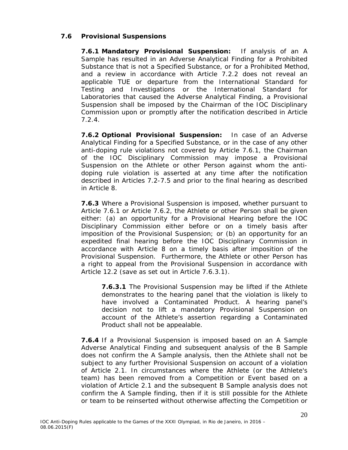## **7.6** *Provisional Suspensions*

**7.6.1 Mandatory** *Provisional Suspension***:** If analysis of an A *Sample* has resulted in an *Adverse Analytical Finding* for a *Prohibited Substance* that is not a *Specified Substance*, or for a *Prohibited Method*, and a review in accordance with Article 7.2.2 does not reveal an applicable *TUE* or departure from the International Standard for Testing and Investigations or the International Standard for Laboratories that caused the *Adverse Analytical Finding*, a *Provisional Suspension* shall be imposed by the Chairman of the *IOC* Disciplinary Commission upon or promptly after the notification described in Article 7.2.4.

**7.6.2 Optional** *Provisional Suspension***:** In case of an *Adverse Analytical Finding* for a *Specified Substance*, or in the case of any other anti-doping rule violations not covered by Article 7.6.1, the Chairman of the *IOC* Disciplinary Commission may impose a *Provisional Suspension* on the *Athlete* or other *Person* against whom the antidoping rule violation is asserted at any time after the notification described in Articles 7.2-7.5 and prior to the final hearing as described in Article 8.

**7.6.3** Where a *Provisional Suspension* is imposed, whether pursuant to Article 7.6.1 or Article 7.6.2, the *Athlete* or other *Person* shall be given either: (a) an opportunity for a *Provisional Hearing* before the *IOC* Disciplinary Commission either before or on a timely basis after imposition of the *Provisional Suspension*; or (b) an opportunity for an expedited final hearing before the *IOC* Disciplinary Commission in accordance with Article 8 on a timely basis after imposition of the *Provisional Suspension.* Furthermore, the *Athlete* or other *Person* has a right to appeal from the *Provisional Suspension* in accordance with Article 12.2 (save as set out in Article 7.6.3.1).

**7.6.3.1** The *Provisional Suspension* may be lifted if the *Athlete* demonstrates to the hearing panel that the violation is likely to have involved a *Contaminated Product*. A hearing panel's decision not to lift a mandatory *Provisional Suspension* on account of the *Athlete's* assertion regarding a *Contaminated Product* shall not be appealable.

**7.6.4** If a *Provisional Suspension* is imposed based on an A *Sample Adverse Analytical Finding* and subsequent analysis of the B *Sample* does not confirm the A *Sample* analysis, then the *Athlete* shall not be subject to any further *Provisional Suspension* on account of a violation of Article 2.1. In circumstances where the *Athlete* (or the *Athlete's*  team) has been removed from a *Competition* or *Event* based on a violation of Article 2.1 and the subsequent B *Sample* analysis does not confirm the A *Sample* finding, then if it is still possible for the *Athlete*  or team to be reinserted without otherwise affecting the *Competition* or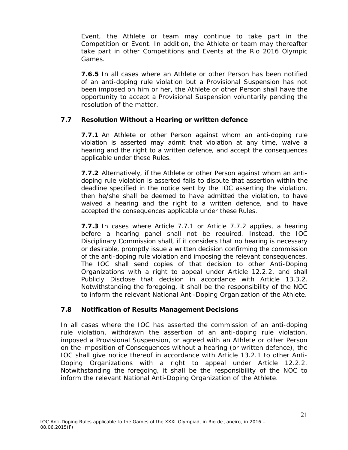*Event*, the *Athlete* or team may continue to take part in the *Competition* or *Event*. In addition, the *Athlete* or team may thereafter take part in other *Competitions* and *Events* at the *Rio 2016 Olympic Games.* 

**7.6.5** In all cases where an *Athlete* or other *Person* has been notified of an anti-doping rule violation but a *Provisional Suspension* has not been imposed on him or her, the *Athlete* or other *Person* shall have the opportunity to accept a *Provisional Suspension* voluntarily pending the resolution of the matter.

### **7.7 Resolution Without a Hearing or written defence**

**7.7.1** An *Athlete* or other *Person* against whom an anti-doping rule violation is asserted may admit that violation at any time, waive a hearing and the right to a written defence, and accept the consequences applicable under these *Rules*.

**7.7.2** Alternatively, if the *Athlete* or other *Person* against whom an antidoping rule violation is asserted fails to dispute that assertion within the deadline specified in the notice sent by the *IOC* asserting the violation, then he/she shall be deemed to have admitted the violation, to have waived a hearing and the right to a written defence, and to have accepted the consequences applicable under these *Rules*.

**7.7.3** In cases where Article 7.7.1 or Article 7.7.2 applies, a hearing before a hearing panel shall not be required. Instead, the *IOC* Disciplinary Commission shall, if it considers that no hearing is necessary or desirable, promptly issue a written decision confirming the commission of the anti-doping rule violation and imposing the relevant consequences. The *IOC* shall send copies of that decision to other *Anti-Doping Organizations* with a right to appeal under Article 12.2.2, and shall *Publicly Disclose* that decision in accordance with Article 13.3.2. Notwithstanding the foregoing, it shall be the responsibility of the *NOC* to inform the relevant *National Anti-Doping Organization* of the *Athlete.*

#### **7.8 Notification of Results Management Decisions**

In all cases where the *IOC* has asserted the commission of an anti-doping rule violation, withdrawn the assertion of an anti-doping rule violation, imposed a *Provisional Suspension*, or agreed with an *Athlete* or other *Person* on the imposition of *Consequences* without a hearing (or written defence), the *IOC* shall give notice thereof in accordance with Article 13.2.1 to other *Anti-Doping Organizations* with a right to appeal under Article 12.2.2. Notwithstanding the foregoing, it shall be the responsibility of the *NOC* to inform the relevant *National Anti-Doping Organization* of the *Athlete.*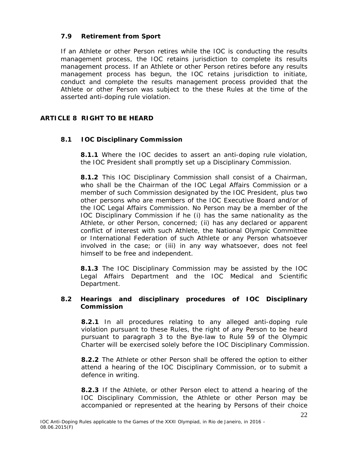## **7.9 Retirement from Sport**

If an *Athlete* or other *Person* retires while the *IOC* is conducting the results management process, the *IOC* retains jurisdiction to complete its results management process. If an *Athlete* or other *Person* retires before any results management process has begun, the IOC retains jurisdiction to initiate, conduct and complete the results management process provided that the *Athlete* or other *Person* was subject to the these *Rules* at the time of the asserted anti-doping rule violation.

## **ARTICLE 8 RIGHT TO BE HEARD**

### **8.1 IOC Disciplinary Commission**

**8.1.1** Where the IOC decides to assert an anti-doping rule violation, the *IOC* President shall promptly set up a Disciplinary Commission.

**8.1.2** This *IOC* Disciplinary Commission shall consist of a Chairman, who shall be the Chairman of the *IOC Legal Affairs Commission* or a member of such Commission designated by the *IOC* President, plus two other persons who are members of the *IOC* Executive Board and/or of the *IOC Legal Affairs Commission*. No *Person* may be a member of the *IOC* Disciplinary Commission if he (i) has the same nationality as the *Athlete*, or other *Person*, concerned; (ii) has any declared or apparent conflict of interest with such *Athlete*, the *National Olympic Committee* or *International Federation* of such *Athlete* or any *Person* whatsoever involved in the case; or (iii) in any way whatsoever, does not feel himself to be free and independent.

**8.1.3** The *IOC* Disciplinary Commission may be assisted by the IOC Legal Affairs Department and the IOC Medical and Scientific Department.

#### **8.2 Hearings and disciplinary procedures of IOC Disciplinary Commission**

**8.2.1** In all procedures relating to any alleged anti-doping rule violation pursuant to these *Rules,* the right of any *Person* to be heard pursuant to paragraph 3 to the Bye-law to Rule 59 of the Olympic Charter will be exercised solely before the *IOC* Disciplinary Commission.

**8.2.2** The *Athlete* or other *Person* shall be offered the option to either attend a hearing of the *IOC* Disciplinary Commission, or to submit a defence in writing.

**8.2.3** If the *Athlete*, or other *Person* elect to attend a hearing of the *IOC* Disciplinary Commission, the *Athlete* or other *Person* may be accompanied or represented at the hearing by *Person*s of their choice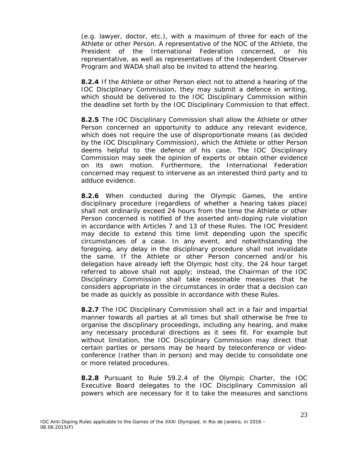(e.g. lawyer, doctor, etc.), with a maximum of three for each of the *Athlete* or other *Person*. A representative of the *NOC* of the Athlete, the President of the *International Federation* concerned, or his representative, as well as representatives of the *Independent Observer Program* and *WADA* shall also be invited to attend the hearing.

**8.2.4** If the *Athlete* or other *Person* elect not to attend a hearing of the *IOC* Disciplinary Commission, they may submit a defence in writing, which should be delivered to the *IOC* Disciplinary Commission within the deadline set forth by the *IOC* Disciplinary Commission to that effect.

**8.2.5** The *IOC* Disciplinary Commission shall allow the *Athlete* or other *Person* concerned an opportunity to adduce any relevant evidence, which does not require the use of disproportionate means (as decided by the *IOC* Disciplinary Commission), which the *Athlete* or other *Person* deems helpful to the defence of his case. The *IOC* Disciplinary Commission may seek the opinion of experts or obtain other evidence on its own motion. Furthermore, the *International Federation*  concerned may request to intervene as an interested third party and to adduce evidence.

**8.2.6** When conducted during the Olympic Games, the entire disciplinary procedure (regardless of whether a hearing takes place) shall not ordinarily exceed 24 hours from the time the *Athlete* or other *Person* concerned is notified of the asserted anti-doping rule violation in accordance with Articles 7 and 13 of these *Rules*. The IOC President may decide to extend this time limit depending upon the specific circumstances of a case. In any event, and notwithstanding the foregoing, any delay in the disciplinary procedure shall not invalidate the same. If the *Athlete* or other *Person* concerned and/or his delegation have already left the Olympic host city, the 24 hour target referred to above shall not apply; instead, the Chairman of the *IOC* Disciplinary Commission shall take reasonable measures that he considers appropriate in the circumstances in order that a decision can be made as quickly as possible in accordance with these *Rules.*

**8.2.7** The *IOC* Disciplinary Commission shall act in a fair and impartial manner towards all parties at all times but shall otherwise be free to organise the disciplinary proceedings, including any hearing, and make any necessary procedural directions as it sees fit. For example but without limitation, the *IOC* Disciplinary Commission may direct that certain parties or persons may be heard by teleconference or videoconference (rather than in person) and may decide to consolidate one or more related procedures.

**8.2.8** Pursuant to Rule 59.2.4 of the Olympic Charter, the *IOC* Executive Board delegates to the *IOC* Disciplinary Commission all powers which are necessary for it to take the measures and sanctions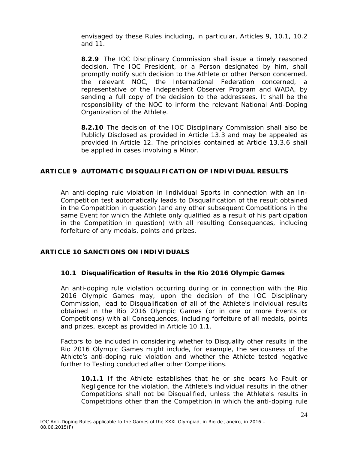envisaged by these *Rules* including, in particular, Articles 9, 10.1, 10.2 and 11.

**8.2.9** The *IOC* Disciplinary Commission shall issue a timely reasoned decision. The *IOC* President, or a *Person* designated by him, shall promptly notify such decision to the *Athlete* or other *Person* concerned, the relevant *NOC*, the *International Federation* concerned, a representative of the *Independent Observer Program* and *WADA*, by sending a full copy of the decision to the addressees. It shall be the responsibility of the *NOC* to inform the relevant *National Anti-Doping Organization* of the *Athlete.*

**8.2.10** The decision of the *IOC* Disciplinary Commission shall also be *Publicly Disclosed* as provided in Article 13.3 and may be appealed as provided in Article 12. The principles contained at Article 13.3.6 shall be applied in cases involving a *Minor*.

## **ARTICLE 9 AUTOMATIC** *DISQUALIFICATION* **OF INDIVIDUAL RESULTS**

An anti-doping rule violation in *Individual Sports* in connection with an *In-Competition* test automatically leads to *Disqualification* of the result obtained in the *Competition* in question (and any other subsequent *Competitions* in the same *Event* for which the Athlete only qualified as a result of his participation in the *Competition* in question) with all resulting *Consequences*, including forfeiture of any medals, points and prizes.

## **ARTICLE 10 SANCTIONS ON INDIVIDUALS**

## **10.1** *Disqualification* **of Results in the** *Rio 2016 Olympic Games*

An anti-doping rule violation occurring during or in connection with the *Rio 2016 Olympic Games* may, upon the decision of the *IOC* Disciplinary Commission, lead to *Disqualification* of all of the *Athlete's* individual results obtained in the *Rio 2016 Olympic Games* (or in one or more *Events or Competitions)* with all *Consequences*, including forfeiture of all medals, points and prizes, except as provided in Article 10.1.1.

Factors to be included in considering whether to *Disqualify* other results in the *Rio 2016 Olympic Games* might include, for example, the seriousness of the *Athlete*'s anti-doping rule violation and whether the *Athlete* tested negative further to *Testing* conducted after other *Competitions*.

**10.1.1** If the *Athlete* establishes that he or she bears *No Fault or Negligence* for the violation, the *Athlete's* individual results in the other *Competition*s shall not be *Disqualified,* unless the *Athlete's* results in *Competition*s other than the *Competition* in which the anti-doping rule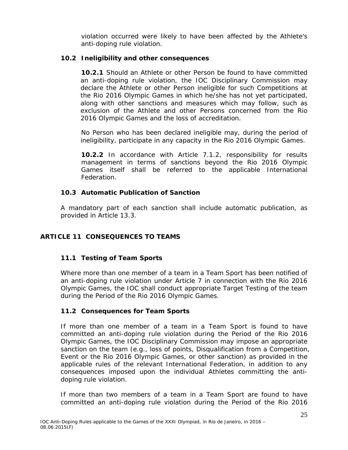violation occurred were likely to have been affected by the *Athlete*'s anti-doping rule violation.

## **10.2** *Ineligibility* **and other** *consequences*

**10.2.1** Should an *Athlete* or other *Person* be found to have committed an anti-doping rule violation, the *IOC* Disciplinary Commission may declare the *Athlete* or other *Person* ineligible for such *Competitions* at the *Rio 2016 Olympic Games* in which he/she has not yet participated, along with other sanctions and measures which may follow, such as exclusion of the *Athlete* and other *Persons* concerned from the *Rio 2016 Olympic Games* and the loss of accreditation.

No *Person* who has been declared ineligible may, during the period of ineligibility, participate in any capacity in the *Rio 2016 Olympic Games*.

**10.2.2** In accordance with Article 7.1.2, responsibility for results management in terms of sanctions beyond the *Rio 2016 Olympic Games* itself shall be referred to the applicable *International Federation*.

# **10.3 Automatic Publication of Sanction**

A mandatory part of each sanction shall include automatic publication, as provided in Article 13.3.

# **ARTICLE 11** *CONSEQUENCES* **TO TEAMS**

# **11.1** *Testing* **of** *Team Sport***s**

Where more than one member of a team in a *Team Sport* has been notified of an anti-doping rule violation under Article 7 in connection with the *Rio 2016 Olympic Games*, the *IOC* shall conduct appropriate *Target Testing* of the team during the *Period of the Rio 2016 Olympic Games*.

# **11.2** *Consequences* **for** *Team Sport***s**

If more than one member of a team in a *Team Sport* is found to have committed an anti-doping rule violation during the *Period of the Rio 2016 Olympic Games*, the *IOC* Disciplinary Commission may impose an appropriate sanction on the team (e.g., loss of points, *Disqualification* from a *Competition*, *Event or the Rio 2016 Olympic Games*, or other sanction) as provided in the applicable rules of the relevant *International Federation*, in addition to any consequences imposed upon the individual *Athlete*s committing the antidoping rule violation.

If more than two members of a team in a *Team Sport* are found to have committed an anti-doping rule violation during the *Period of the Rio 2016*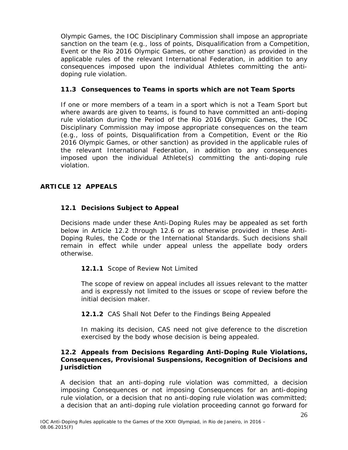*Olympic Games*, the *IOC* Disciplinary Commission shall impose an appropriate sanction on the team (e.g., loss of points, *Disqualification* from a *Competition*, *Event or the Rio 2016 Olympic Games*, or other sanction) as provided in the applicable rules of the relevant *International Federation*, in addition to any consequences imposed upon the individual *Athlete*s committing the antidoping rule violation.

## **11.3** *Consequences* **to** *Teams* **in sports which are not** *Team Sports*

If one or more members of a team in a sport which is not a *Team Sport* but where awards are given to teams, is found to have committed an anti-doping rule violation during the *Period of the Rio 2016 Olympic Games*, the *IOC* Disciplinary Commission may impose appropriate consequences on the team (e.g., loss of points, *Disqualification* from a *Competition*, *Event or the Rio 2016 Olympic Games*, or other sanction) as provided in the applicable rules of the relevant *International Federation*, in addition to any consequences imposed upon the individual *Athlete(*s) committing the anti-doping rule violation.

## **ARTICLE 12 APPEALS**

## **12.1 Decisions Subject to Appeal**

Decisions made under these Anti-Doping Rules may be appealed as set forth below in Article 12.2 through 12.6 or as otherwise provided in these Anti-Doping Rules, the *Code* or the *International Standards*. Such decisions shall remain in effect while under appeal unless the appellate body orders otherwise.

## **12.1.1** Scope of Review Not Limited

The scope of review on appeal includes all issues relevant to the matter and is expressly not limited to the issues or scope of review before the initial decision maker.

## **12.1.2** *CAS* Shall Not Defer to the Findings Being Appealed

In making its decision, *CAS* need not give deference to the discretion exercised by the body whose decision is being appealed.

#### **12.2 Appeals from Decisions Regarding Anti-Doping Rule Violations,**  *Consequences***,** *Provisional Suspensions***, Recognition of Decisions and Jurisdiction**

A decision that an anti-doping rule violation was committed, a decision imposing *Consequences* or not imposing *Consequences* for an anti-doping rule violation, or a decision that no anti-doping rule violation was committed; a decision that an anti-doping rule violation proceeding cannot go forward for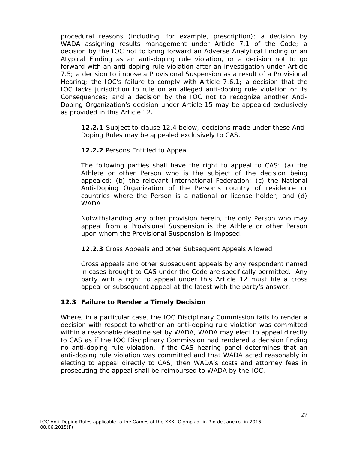procedural reasons (including, for example, prescription); a decision by WADA assigning results management under Article 7.1 of the Code; a decision by the *IOC* not to bring forward an *Adverse Analytical Finding* or an *Atypical Finding* as an anti-doping rule violation, or a decision not to go forward with an anti-doping rule violation after an investigation under Article 7.5; a decision to impose a *Provisional Suspension* as a result of a *Provisional Hearing*; the *IOC*'s failure to comply with Article 7.6.1; a decision that the *IOC* lacks jurisdiction to rule on an alleged anti-doping rule violation or its *Consequences;* and a decision by the *IOC* not to recognize another *Anti-Doping Organization's* decision under Article 15 may be appealed exclusively as provided in this Article 12.

**12.2.1** Subject to clause 12.4 below, decisions made under these Anti-Doping Rules may be appealed exclusively to *CAS.*

#### **12.2.2** *Persons* Entitled to Appeal

The following parties shall have the right to appeal to *CAS*: (a) the *Athlete* or other *Person* who is the subject of the decision being appealed; (b) the relevant *International Federation*; (c) the *National Anti-Doping Organization* of the *Person's* country of residence or countries where the *Person* is a national or license holder; and (d) *WADA*.

Notwithstanding any other provision herein, the only *Person* who may appeal from a *Provisional Suspension* is the *Athlete* or other *Person* upon whom the *Provisional Suspension* is imposed.

#### **12.2.3** Cross Appeals and other Subsequent Appeals Allowed

Cross appeals and other subsequent appeals by any respondent named in cases brought to *CAS* under the *Code* are specifically permitted*.* Any party with a right to appeal under this Article 12 must file a cross appeal or subsequent appeal at the latest with the party's answer.

#### **12.3 Failure to Render a Timely Decision**

Where, in a particular case, the *IOC* Disciplinary Commission fails to render a decision with respect to whether an anti-doping rule violation was committed within a reasonable deadline set by *WADA*, *WADA* may elect to appeal directly to *CAS* as if the *IOC* Disciplinary Commission had rendered a decision finding no anti-doping rule violation. If the *CAS* hearing panel determines that an anti-doping rule violation was committed and that *WADA* acted reasonably in electing to appeal directly to *CAS*, then *WADA's* costs and attorney fees in prosecuting the appeal shall be reimbursed to *WADA* by the *IOC*.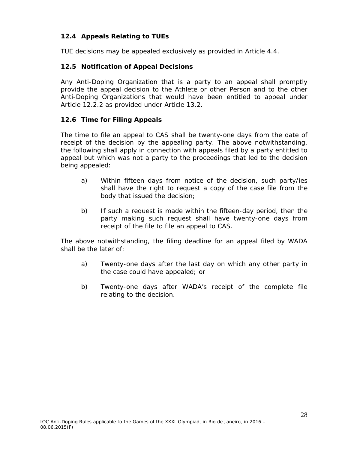## **12.4 Appeals Relating to** *TUEs*

*TUE* decisions may be appealed exclusively as provided in Article 4.4.

## **12.5 Notification of Appeal Decisions**

Any *Anti-Doping Organization* that is a party to an appeal shall promptly provide the appeal decision to the *Athlete* or other *Person* and to the other *Anti-Doping Organizations* that would have been entitled to appeal under Article 12.2.2 as provided under Article 13.2.

## **12.6 Time for Filing Appeals**

The time to file an appeal to *CAS* shall be twenty-one days from the date of receipt of the decision by the appealing party. The above notwithstanding, the following shall apply in connection with appeals filed by a party entitled to appeal but which was not a party to the proceedings that led to the decision being appealed:

- a) Within fifteen days from notice of the decision, such party/ies shall have the right to request a copy of the case file from the body that issued the decision;
- b) If such a request is made within the fifteen-day period, then the party making such request shall have twenty-one days from receipt of the file to file an appeal to *CAS*.

The above notwithstanding, the filing deadline for an appeal filed by *WADA* shall be the later of:

- a) Twenty-one days after the last day on which any other party in the case could have appealed; or
- b) Twenty-one days after *WADA*'s receipt of the complete file relating to the decision.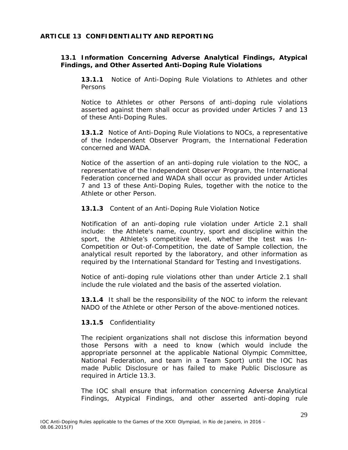### **ARTICLE 13 CONFIDENTIALITY AND REPORTING**

## **13.1 Information Concerning** *Adverse Analytical Findings***,** *Atypical Findings***, and Other Asserted Anti-Doping Rule Violations**

**13.1.1** Notice of Anti-Doping Rule Violations to *Athletes* and other *Person*s

Notice to *Athletes* or other *Persons* of anti-doping rule violations asserted against them shall occur as provided under Articles 7 and 13 of these Anti-Doping Rules.

**13.1.2** Notice of Anti-Doping Rule Violations to *NOCs*, a representative of the *Independent Observer Program,* the *International Federation* concerned and *WADA*.

Notice of the assertion of an anti-doping rule violation to the *NOC*, a representative of the *Independent Observer Program,* the *International Federation* concerned and *WADA* shall occur as provided under Articles 7 and 13 of these Anti-Doping Rules, together with the notice to the *Athlete* or other *Person*.

#### **13.1.3** Content of an Anti-Doping Rule Violation Notice

Notification of an anti-doping rule violation under Article 2.1 shall include: the *Athlete's* name, country, sport and discipline within the sport, the *Athlete's* competitive level, whether the test was *In-Competition* or *Out-of-Competition*, the date of *Sample* collection, the analytical result reported by the laboratory, and other information as required by the International Standard for Testing and Investigations.

Notice of anti-doping rule violations other than under Article 2.1 shall include the rule violated and the basis of the asserted violation.

**13.1.4** It shall be the responsibility of the *NOC* to inform the relevant *NADO* of the *Athlete* or other *Person* of the above-mentioned notices.

#### **13.1.5** Confidentiality

The recipient organizations shall not disclose this information beyond those *Person*s with a need to know (which would include the appropriate personnel at the applicable *National Olympic Committee*, *National Federation*, and team in a *Team Sport*) until the *IOC* has made *Public Disclosure* or has failed to make *Public Disclosure* as required in Article 13.3.

The IOC shall ensure that information concerning *Adverse Analytical Findings*, *Atypical Findings*, and other asserted anti-doping rule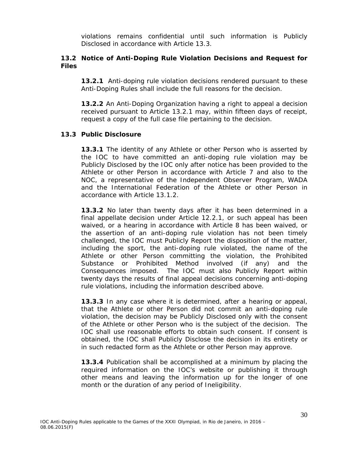violations remains confidential until such information is *Publicly Disclosed* in accordance with Article 13.3.

## **13.2 Notice of Anti-Doping Rule Violation Decisions and Request for Files**

**13.2.1** Anti-doping rule violation decisions rendered pursuant to these Anti-Doping Rules shall include the full reasons for the decision.

**13.2.2** An *Anti-Doping Organization* having a right to appeal a decision received pursuant to Article 13.2.1 may, within fifteen days of receipt, request a copy of the full case file pertaining to the decision.

## **13.3** *Public Disclosure*

**13.3.1** The identity of any *Athlete* or other *Person* who is asserted by the *IOC* to have committed an anti-doping rule violation may be *Publicly Disclose*d by the *IOC* only after notice has been provided to the *Athlete* or other *Person* in accordance with Article 7 and also to the *NOC*, a representative of the *Independent Observer* Program, WADA and the *International Federation* of the *Athlete* or other *Person* in accordance with Article 13.1.2.

**13.3.2** No later than twenty days after it has been determined in a final appellate decision under Article 12.2.1, or such appeal has been waived, or a hearing in accordance with Article 8 has been waived, or the assertion of an anti-doping rule violation has not been timely challenged, the *IOC* must *Publicly Report* the disposition of the matter, including the sport, the anti-doping rule violated, the name of the *Athlete* or other *Person* committing the violation, the *Prohibited Substance* or *Prohibited Method* involved (if any) and the *Consequences* imposed. The *IOC* must also *Publicly Report* within twenty days the results of final appeal decisions concerning anti-doping rule violations, including the information described above.

**13.3.3** In any case where it is determined, after a hearing or appeal, that the *Athlete* or other *Person* did not commit an anti-doping rule violation, the decision may be *Publicly Disclosed* only with the consent of the *Athlete* or other *Person* who is the subject of the decision. The *IOC* shall use reasonable efforts to obtain such consent. If consent is obtained, the *IOC* shall *Publicly Disclose* the decision in its entirety or in such redacted form as the *Athlete* or other *Person* may approve.

**13.3.4** Publication shall be accomplished at a minimum by placing the required information on the *IOC*'s website or publishing it through other means and leaving the information up for the longer of one month or the duration of any period of *Ineligibility*.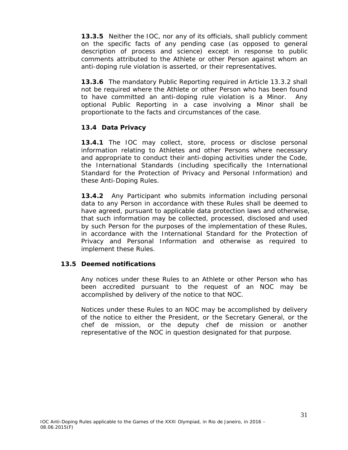**13.3.5** Neither the *IOC*, nor any of its officials, shall publicly comment on the specific facts of any pending case (as opposed to general description of process and science) except in response to public comments attributed to the *Athlete* or other *Person* against whom an anti-doping rule violation is asserted, or their representatives.

**13.3.6** The mandatory *Public Reporting* required in Article 13.3.2 shall not be required where the *Athlete* or other *Person* who has been found to have committed an anti-doping rule violation is a *Minor*. Any optional *Public Reporting* in a case involving a *Minor* shall be proportionate to the facts and circumstances of the case.

#### **13.4 Data Privacy**

**13.4.1** The *IOC* may collect, store, process or disclose personal information relating to *Athlete*s and other *Persons* where necessary and appropriate to conduct their anti-doping activities under the *Code*, the *International Standards* (including specifically the *International Standard* for the Protection of Privacy and Personal Information) and these Anti-Doping Rules.

**13.4.2** Any *Participant* who submits information including personal data to any *Person* in accordance with these *Rules* shall be deemed to have agreed, pursuant to applicable data protection laws and otherwise, that such information may be collected, processed, disclosed and used by such *Person* for the purposes of the implementation of these *Rules*, in accordance with the International Standard for the Protection of Privacy and Personal Information and otherwise as required to implement these *Rules*.

#### **13.5 Deemed notifications**

Any notices under these *Rules* to an *Athlete* or other *Person* who has been accredited pursuant to the request of an *NOC* may be accomplished by delivery of the notice to that *NOC.* 

Notices under these Rules to an *NOC* may be accomplished by delivery of the notice to either the President, or the Secretary General, or the chef de mission, or the deputy chef de mission or another representative of the *NOC* in question designated for that purpose.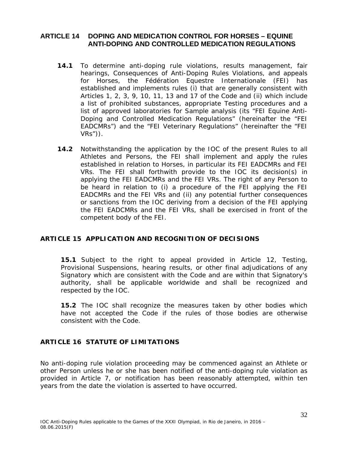## **ARTICLE 14 DOPING AND MEDICATION CONTROL FOR HORSES – EQUINE ANTI-DOPING AND CONTROLLED MEDICATION REGULATIONS**

- **14.1** To determine anti-doping rule violations, results management, fair hearings, *Consequences of Anti-Doping Rules Violations*, and appeals for Horses, the Fédération Equestre Internationale (FEI) has established and implements rules (i) that are generally consistent with Articles 1, 2, 3, 9, 10, 11, 13 and 17 of the *Code* and (ii) which include a list of prohibited substances, appropriate *Testing* procedures and a list of approved laboratories for *Sample* analysis (its "FEI Equine Anti-Doping and Controlled Medication Regulations" (hereinafter the "*FEI EADCMRs*") and the "FEI Veterinary Regulations" (hereinafter the "*FEI VRs*")).
- **14.2** Notwithstanding the application by the *IOC* of the present *Rules* to all *Athletes* and *Persons*, the FEI shall implement and apply the rules established in relation to Horses, in particular its *FEI EADCMRs* and *FEI VRs*. The FEI shall forthwith provide to the *IOC* its decision(s) in applying the *FEI EADCMRs* and the *FEI VRs*. The right of any *Person* to be heard in relation to (i) a procedure of the FEI applying the FEI EADCMRs and the *FEI VRs* and (ii) any potential further consequences or sanctions from the *IOC* deriving from a decision of the FEI applying the *FEI EADCMRs* and the *FEI VRs*, shall be exercised in front of the competent body of the FEI.

#### **ARTICLE 15 APPLICATION AND RECOGNITION OF DECISIONS**

**15.1** Subject to the right to appeal provided in Article 12, *Testing*, *Provisional Suspensions*, hearing results, or other final adjudications of any *Signatory* which are consistent with the *Code* and are within that *Signatory's* authority, shall be applicable worldwide and shall be recognized and respected by the *IOC*.

**15.2** The *IOC* shall recognize the measures taken by other bodies which have not accepted the *Code* if the rules of those bodies are otherwise consistent with the *Code*.

#### **ARTICLE 16 STATUTE OF LIMITATIONS**

No anti-doping rule violation proceeding may be commenced against an *Athlete* or other *Person* unless he or she has been notified of the anti-doping rule violation as provided in Article 7, or notification has been reasonably attempted, within ten years from the date the violation is asserted to have occurred.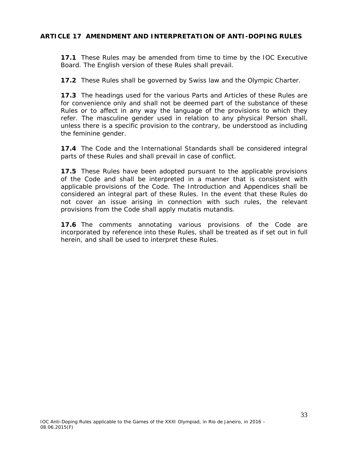## **ARTICLE 17 AMENDMENT AND INTERPRETATION OF ANTI-DOPING RULES**

**17.1** These *Rules* may be amended from time to time by the *IOC* Executive Board. The English version of these *Rules* shall prevail.

**17.2** These *Rules* shall be governed by Swiss law and the Olympic Charter.

**17.3** The headings used for the various Parts and Articles of these *Rules* are for convenience only and shall not be deemed part of the substance of these *Rules* or to affect in any way the language of the provisions to which they refer. The masculine gender used in relation to any physical *Person* shall, unless there is a specific provision to the contrary, be understood as including the feminine gender.

**17.4** The *Code* and the *International Standards* shall be considered integral parts of these *Rules* and shall prevail in case of conflict.

**17.5** These *Rules* have been adopted pursuant to the applicable provisions of the *Code* and shall be interpreted in a manner that is consistent with applicable provisions of the *Code*. The Introduction and Appendices shall be considered an integral part of these *Rules*. In the event that these *Rules* do not cover an issue arising in connection with such rules, the relevant provisions from the *Code* shall apply *mutatis mutandis*.

**17.6** The comments annotating various provisions of the *Code* are incorporated by reference into these *Rules*, shall be treated as if set out in full herein, and shall be used to interpret these *Rules*.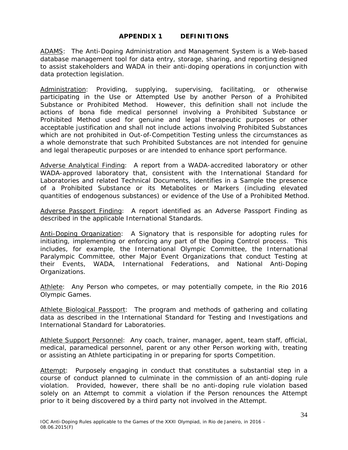#### **APPENDIX 1 DEFINITIONS**

*ADAMS*: The Anti-Doping Administration and Management System is a Web-based database management tool for data entry, storage, sharing, and reporting designed to assist stakeholders and *WADA* in their anti-doping operations in conjunction with data protection legislation.

*Administration*: Providing, supplying, supervising, facilitating, or otherwise participating in the *Use* or *Attempted Use* by another *Person* of a *Prohibited Substance* or *Prohibited Method*. However, this definition shall not include the actions of bona fide medical personnel involving a *Prohibited Substance* or *Prohibited Method* used for genuine and legal therapeutic purposes or other acceptable justification and shall not include actions involving *Prohibited Substances*  which are not prohibited in *Out-of-Competition Testing* unless the circumstances as a whole demonstrate that such *Prohibited Substances* are not intended for genuine and legal therapeutic purposes or are intended to enhance sport performance*.*

*Adverse Analytical Finding*: A report from a *WADA*-accredited laboratory or other *WADA*-approved laboratory that, consistent with the International Standard for Laboratories and related Technical Documents, identifies in a *Sample* the presence of a *Prohibited Substance* or its *Metabolites* or *Markers* (including elevated quantities of endogenous substances) or evidence of the *Use* of a *Prohibited Method*.

*Adverse Passport Finding*: A report identified as an *Adverse Passport Finding* as described in the applicable *International Standards*.

*Anti-Doping Organization*: A *Signatory* that is responsible for adopting rules for initiating, implementing or enforcing any part of the *Doping Control* process. This includes, for example, the International Olympic Committee, the International Paralympic Committee, other *Major Event Organizations* that conduct *Testing* at their *Events*, *WADA*, *International Federations*, and *National Anti-Doping Organization*s*.*

*Athlete*: Any *Person* who competes, or may potentially compete, in the *Rio 2016 Olympic Games*.

*Athlete Biological Passport*: The program and methods of gathering and collating data as described in the International Standard for Testing and Investigations and International Standard for Laboratories.

*Athlete Support Personnel*: Any coach, trainer, manager, agent, team staff, official, medical, paramedical personnel, parent or any other *Person* working with, treating or assisting an *Athlete* participating in or preparing for sports *Competition*.

*Attempt*: Purposely engaging in conduct that constitutes a substantial step in a course of conduct planned to culminate in the commission of an anti-doping rule violation. Provided, however, there shall be no anti-doping rule violation based solely on an *Attempt* to commit a violation if the *Person* renounces the *Attempt* prior to it being discovered by a third party not involved in the *Attempt*.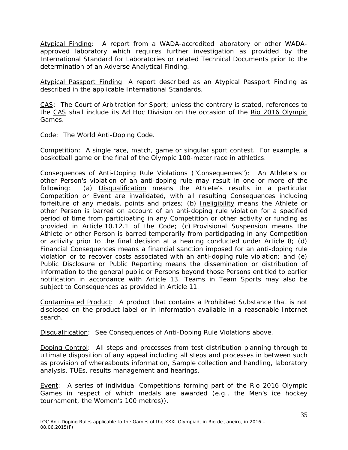*Atypical Finding*: A report from a *WADA*-accredited laboratory or other *WADA*approved laboratory which requires further investigation as provided by the International Standard for Laboratories or related Technical Documents prior to the determination of an *Adverse Analytical Finding*.

*Atypical Passport Finding*: A report described as an *Atypical Passport Finding* as described in the applicable *International Standards*.

*CAS*: The Court of Arbitration for Sport; unless the contrary is stated, references to the *CAS* shall include its Ad Hoc Division on the occasion of the *Rio 2016 Olympic Games*.

*Code*: The World Anti-Doping Code.

*Competition*: A single race, match, game or singular sport contest. For example, a basketball game or the final of the Olympic 100-meter race in athletics.

*Consequences of Anti-Doping Rule Violations ("Consequences")*: An *Athlete's* or other *Person's* violation of an anti-doping rule may result in one or more of the following: (a) *Disqualification* means the *Athlete's* results in a particular *Competition* or *Event* are invalidated, with all resulting *Consequences* including forfeiture of any medals, points and prizes; (b) *Ineligibility* means the *Athlete* or other *Person* is barred on account of an anti-doping rule violation for a specified period of time from participating in any *Competition* or other activity or funding as provided in Article 10.12.1 of the *Code*; (c) *Provisional Suspension* means the *Athlete* or other *Person* is barred temporarily from participating in any *Competition* or activity prior to the final decision at a hearing conducted under Article 8; (d) *Financial Consequences* means a financial sanction imposed for an anti-doping rule violation or to recover costs associated with an anti-doping rule violation; and (e) *Public Disclosure or Public Reporting* means the dissemination or distribution of information to the general public or *Persons* beyond those *Persons* entitled to earlier notification in accordance with Article 13. Teams in *Team Sports* may also be subject to *Consequences* as provided in Article 11.

*Contaminated Product*:A product that contains a *Prohibited Substance* that is not disclosed on the product label or in information available in a reasonable Internet search.

*Disqualification*: See *Consequences of Anti-Doping Rule Violations* above.

*Doping Control*: All steps and processes from test distribution planning through to ultimate disposition of any appeal including all steps and processes in between such as provision of whereabouts information, *Sample* collection and handling, laboratory analysis, *TUEs*, results management and hearings.

*Event*: A series of individual *Competitions* forming part of the *Rio 2016 Olympic Games* in respect of which medals are awarded (e.g., the Men's ice hockey tournament, the Women's 100 metres)).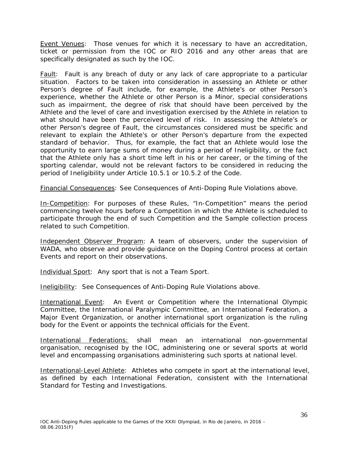*Event Venues*: Those venues for which it is necessary to have an accreditation, ticket or permission from the *IOC* or *RIO 2016* and any other areas that are specifically designated as such by the *IOC.*

*Fault*: *Fault* is any breach of duty or any lack of care appropriate to a particular situation. Factors to be taken into consideration in assessing an *Athlete* or other *Person's* degree of *Fault* include, for example, the *Athlete's* or other *Person's* experience, whether the *Athlete* or other *Person* is a *Minor*, special considerations such as impairment, the degree of risk that should have been perceived by the *Athlete* and the level of care and investigation exercised by the *Athlete* in relation to what should have been the perceived level of risk. In assessing the *Athlete's* or other *Person's* degree of *Fault*, the circumstances considered must be specific and relevant to explain the *Athlete's* or other *Person's* departure from the expected standard of behavior. Thus, for example, the fact that an *Athlete* would lose the opportunity to earn large sums of money during a period of *Ineligibility,* or the fact that the *Athlete* only has a short time left in his or her career, or the timing of the sporting calendar, would not be relevant factors to be considered in reducing the period of *Ineligibility* under Article 10.5.1 or 10.5.2 of the *Code*.

*Financial Consequences*: See *Consequences of Anti-Doping Rule Violations* above.

*In-Competition*: For purposes of these *Rules*, "*In-Competition*" means the period commencing twelve hours before a Competition in which the Athlete is scheduled to participate through the end of such Competition and the Sample collection process related to such Competition.

*Independent Observer Program*: A team of observers, under the supervision of *WADA*, who observe and provide guidance on the *Doping Control* process at certain *Events* and report on their observations.

*Individual Sport*: Any sport that is not a *Team Sport*.

*Ineligibility*: See *Consequences of Anti-Doping Rule Violations* above.

*International Event*:An *Event* or *Competition* where the International Olympic Committee, the International Paralympic Committee, an *International Federation*, a *Major Event Organization,* or another international sport organization is the ruling body for the *Event* or appoints the technical officials for the *Event.* 

*International Federations:* shall mean an international non-governmental organisation, recognised by the IOC, administering one or several sports at world level and encompassing organisations administering such sports at national level.

*International-Level Athlete*: *Athletes* who compete in sport at the international level, as defined by each *International Federation*, consistent with the International Standard for Testing and Investigations.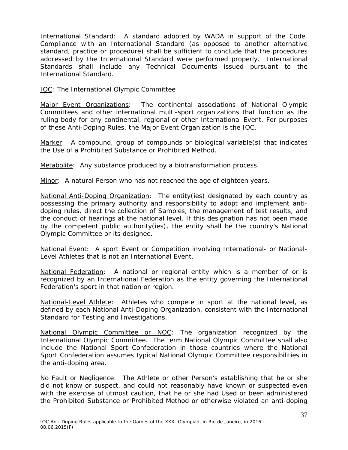*International Standard*: A standard adopted by *WADA* in support of the *Code*. Compliance with an *International Standard* (as opposed to another alternative standard, practice or procedure) shall be sufficient to conclude that the procedures addressed by the *International Standard* were performed properly. *International Standards* shall include any Technical Documents issued pursuant to the *International Standard.* 

*IOC:* The International Olympic Committee

*Major Event Organizations*: The continental associations of *National Olympic Committee*s and other international multi-sport organizations that function as the ruling body for any continental, regional or other *International Event*. For purposes of these Anti-Doping Rules, the *Major Event Organization* is the *IOC*.

*Marker*: A compound, group of compounds or biological variable(s) that indicates the *Use* of a *Prohibited Substance* or *Prohibited Method.* 

*Metabolite*: Any substance produced by a biotransformation process.

*Minor*: A natural *Person* who has not reached the age of eighteen years.

*National Anti-Doping Organization*: The entity(ies) designated by each country as possessing the primary authority and responsibility to adopt and implement antidoping rules, direct the collection of *Samples*, the management of test results, and the conduct of hearings at the national level. If this designation has not been made by the competent public authority(ies), the entity shall be the country's *National Olympic Committee* or its designee.

*National Event*: A sport *Event* or *Competition* involving *International*- or *National-Level Athletes* that is not an *International Event*.

*National Federation*: A national or regional entity which is a member of or is recognized by an *International Federation* as the entity governing the *International Federation*'s sport in that nation or region.

*National-Level Athlete*: *Athletes* who compete in sport at the national level, as defined by each *National Anti-Doping Organization,* consistent with the International Standard for Testing and Investigations.

*National Olympic Committee or NOC*: The organization recognized by the International Olympic Committee. The term *National Olympic Committee* shall also include the National Sport Confederation in those countries where the National Sport Confederation assumes typical *National Olympic Committee* responsibilities in the anti-doping area.

*No Fault or Negligence*: The *Athlete* or other *Person's* establishing that he or she did not know or suspect, and could not reasonably have known or suspected even with the exercise of utmost caution, that he or she had *Used* or been administered the *Prohibited Substance* or *Prohibited Method* or otherwise violated an anti-doping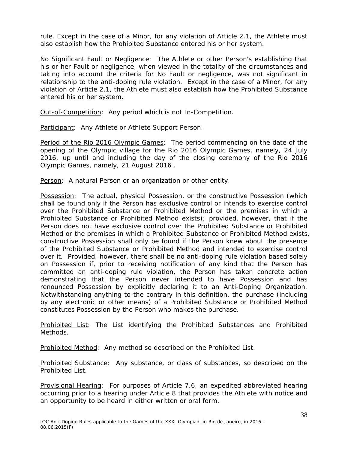rule. Except in the case of a *Minor*, for any violation of Article 2.1, the *Athlete* must also establish how the *Prohibited Substance* entered his or her system.

*No Significant Fault or Negligence*: The *Athlete* or other *Person's* establishing that his or her *Fault* or negligence, when viewed in the totality of the circumstances and taking into account the criteria for *No Fault* or negligence, was not significant in relationship to the anti-doping rule violation. Except in the case of a *Minor*, for any violation of Article 2.1, the *Athlete* must also establish how the *Prohibited Substance* entered his or her system.

*Out-of-Competition*: Any period which is not *In-Competition*.

*Participant*: Any *Athlete* or *Athlete Support Person*.

*Period of the Rio 2016 Olympic Games*: The period commencing on the date of the opening of the Olympic village for the *Rio 2016 Olympic Games*, namely, 24 July 2016, up until and including the day of the closing ceremony of the *Rio 2016 Olympic Games*, namely, 21 August 2016 .

*Person*: A natural *Person* or an organization or other entity.

*Possession*: The actual, physical *Possession*, or the constructive *Possession* (which shall be found only if the *Person* has exclusive control or intends to exercise control over the *Prohibited Substance* or *Prohibited Method* or the premises in which a *Prohibited Substance* or *Prohibited Method* exists); provided, however, that if the *Person* does not have exclusive control over the *Prohibited Substance* or *Prohibited Method* or the premises in which a *Prohibited Substance* or *Prohibited Method* exists, constructive *Possession* shall only be found if the *Person* knew about the presence of the *Prohibited Substance* or *Prohibited Method* and intended to exercise control over it. Provided, however, there shall be no anti-doping rule violation based solely on *Possession* if, prior to receiving notification of any kind that the *Person* has committed an anti-doping rule violation, the *Person* has taken concrete action demonstrating that the *Person* never intended to have *Possession* and has renounced *Possession* by explicitly declaring it to an *Anti-Doping Organization*. Notwithstanding anything to the contrary in this definition, the purchase (including by any electronic or other means) of a *Prohibited Substance* or *Prohibited Method* constitutes *Possession* by the *Person* who makes the purchase.

*Prohibited List*: The List identifying the *Prohibited Substances* and *Prohibited Methods*.

*Prohibited Method*: Any method so described on the *Prohibited List*.

*Prohibited Substance*: Any substance, or class of substances, so described on the *Prohibited List*.

*Provisional Hearing*: For purposes of Article 7.6, an expedited abbreviated hearing occurring prior to a hearing under Article 8 that provides the *Athlete* with notice and an opportunity to be heard in either written or oral form.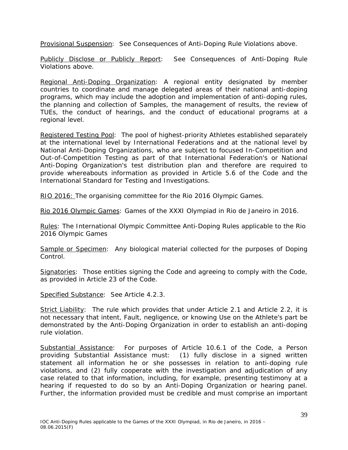*Provisional Suspension*: See *Consequences* of *Anti-Doping Rule Violations* above.

*Publicly Disclose or Publicly Report*: See *Consequences of Anti-Doping Rule Violations* above.

*Regional Anti-Doping Organization*: A regional entity designated by member countries to coordinate and manage delegated areas of their national anti-doping programs, which may include the adoption and implementation of anti-doping rules, the planning and collection of *Samples*, the management of results, the review of *TUEs*, the conduct of hearings, and the conduct of educational programs at a regional level.

*Registered Testing Pool*: The pool of highest-priority *Athletes* established separately at the international level by *International Federations* and at the national level by *National Anti-Doping Organizations,* who are subject to focused *In-Competition* and *Out-of-Competition Testing* as part of that *International Federation*'s or *National Anti-Doping Organization's* test distribution plan and therefore are required to provide whereabouts information as provided in Article 5.6 of the *Code* and the International Standard for Testing and Investigations.

*RIO 2016: The organising committee for the Rio 2016 Olympic Games.* 

*Rio 2016 Olympic Games: Games of the XXXI Olympiad in Rio de Janeiro in 2016.* 

*Rules: The International Olympic Committee Anti-Doping Rules applicable to the Rio 2016 Olympic Games*

*Sample* or *Specimen*: Any biological material collected for the purposes of *Doping Control*.

*Signatories*: Those entities signing the *Code* and agreeing to comply with the *Code*, as provided in Article 23 of the *Code*.

*Specified Substance*:See Article 4.2.3.

*Strict Liability*: The rule which provides that under Article 2.1 and Article 2.2, it is not necessary that intent, *Fault*, negligence, or knowing *Use* on the *Athlete's* part be demonstrated by the *Anti-Doping Organization* in order to establish an anti-doping rule violation.

*Substantial Assistance*: For purposes of Article 10.6.1 of the *Code*, a *Person* providing *Substantial Assistance* must: (1) fully disclose in a signed written statement all information he or she possesses in relation to anti-doping rule violations, and (2) fully cooperate with the investigation and adjudication of any case related to that information, including, for example, presenting testimony at a hearing if requested to do so by an *Anti-Doping Organization* or hearing panel. Further, the information provided must be credible and must comprise an important